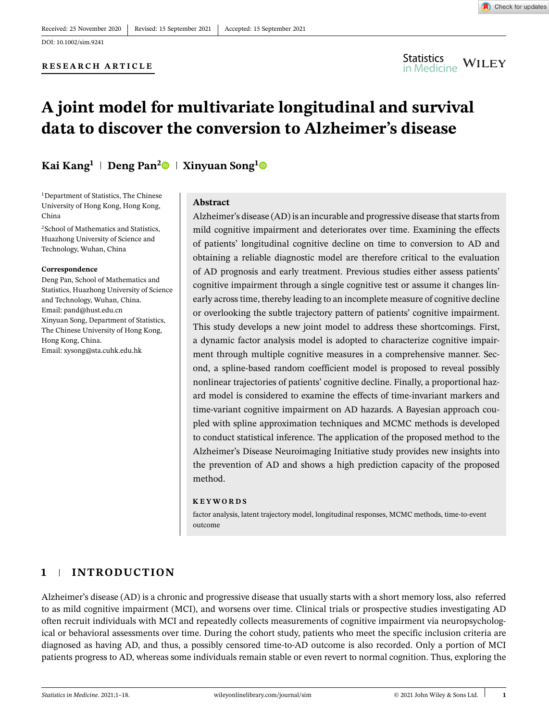DOI: 10.1002/sim.9241

#### **RESEARCH ARTICLE**



### **A joint model for multivariate longitudinal and survival data to discover the conversion to Alzheimer's disease**

#### **Kai Kang**<sup>1</sup> | Deng Pan<sup>[2](https://orcid.org/0000-0003-2785-4666)</sup>  $\bullet$  | Xinyuan Song<sup>[1](https://orcid.org/0000-0002-4877-3200)</sup>  $\bullet$

1Department of Statistics, The Chinese University of Hong Kong, Hong Kong, China

2School of Mathematics and Statistics, Huazhong University of Science and Technology, Wuhan, China

#### **Correspondence**

Deng Pan, School of Mathematics and Statistics, Huazhong University of Science and Technology, Wuhan, China. Email: pand@hust.edu.cn Xinyuan Song, Department of Statistics, The Chinese University of Hong Kong, Hong Kong, China. Email: xysong@sta.cuhk.edu.hk

#### **Abstract**

Alzheimer's disease (AD) is an incurable and progressive disease that starts from mild cognitive impairment and deteriorates over time. Examining the effects of patients' longitudinal cognitive decline on time to conversion to AD and obtaining a reliable diagnostic model are therefore critical to the evaluation of AD prognosis and early treatment. Previous studies either assess patients' cognitive impairment through a single cognitive test or assume it changes linearly across time, thereby leading to an incomplete measure of cognitive decline or overlooking the subtle trajectory pattern of patients' cognitive impairment. This study develops a new joint model to address these shortcomings. First, a dynamic factor analysis model is adopted to characterize cognitive impairment through multiple cognitive measures in a comprehensive manner. Second, a spline-based random coefficient model is proposed to reveal possibly nonlinear trajectories of patients' cognitive decline. Finally, a proportional hazard model is considered to examine the effects of time-invariant markers and time-variant cognitive impairment on AD hazards. A Bayesian approach coupled with spline approximation techniques and MCMC methods is developed to conduct statistical inference. The application of the proposed method to the Alzheimer's Disease Neuroimaging Initiative study provides new insights into the prevention of AD and shows a high prediction capacity of the proposed method.

#### **KEYWORDS**

factor analysis, latent trajectory model, longitudinal responses, MCMC methods, time-to-event outcome

#### **1 INTRODUCTION**

Alzheimer's disease (AD) is a chronic and progressive disease that usually starts with a short memory loss, also referred to as mild cognitive impairment (MCI), and worsens over time. Clinical trials or prospective studies investigating AD often recruit individuals with MCI and repeatedly collects measurements of cognitive impairment via neuropsychological or behavioral assessments over time. During the cohort study, patients who meet the specific inclusion criteria are diagnosed as having AD, and thus, a possibly censored time-to-AD outcome is also recorded. Only a portion of MCI patients progress to AD, whereas some individuals remain stable or even revert to normal cognition. Thus, exploring the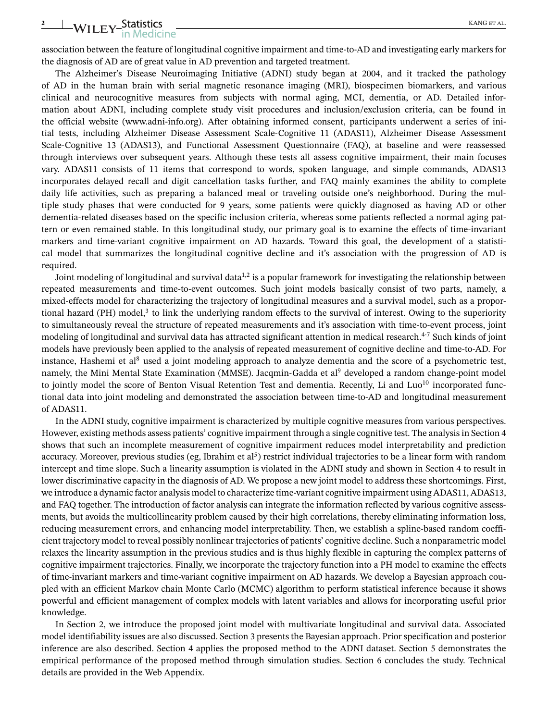### <sup>2</sup> WILEY-Statistics KANG ET AL.

association between the feature of longitudinal cognitive impairment and time-to-AD and investigating early markers for the diagnosis of AD are of great value in AD prevention and targeted treatment.

The Alzheimer's Disease Neuroimaging Initiative (ADNI) study began at 2004, and it tracked the pathology of AD in the human brain with serial magnetic resonance imaging (MRI), biospecimen biomarkers, and various clinical and neurocognitive measures from subjects with normal aging, MCI, dementia, or AD. Detailed information about ADNI, including complete study visit procedures and inclusion/exclusion criteria, can be found in the official website (www.adni-info.org). After obtaining informed consent, participants underwent a series of initial tests, including Alzheimer Disease Assessment Scale-Cognitive 11 (ADAS11), Alzheimer Disease Assessment Scale-Cognitive 13 (ADAS13), and Functional Assessment Questionnaire (FAQ), at baseline and were reassessed through interviews over subsequent years. Although these tests all assess cognitive impairment, their main focuses vary. ADAS11 consists of 11 items that correspond to words, spoken language, and simple commands, ADAS13 incorporates delayed recall and digit cancellation tasks further, and FAQ mainly examines the ability to complete daily life activities, such as preparing a balanced meal or traveling outside one's neighborhood. During the multiple study phases that were conducted for 9 years, some patients were quickly diagnosed as having AD or other dementia-related diseases based on the specific inclusion criteria, whereas some patients reflected a normal aging pattern or even remained stable. In this longitudinal study, our primary goal is to examine the effects of time-invariant markers and time-variant cognitive impairment on AD hazards. Toward this goal, the development of a statistical model that summarizes the longitudinal cognitive decline and it's association with the progression of AD is required.

Joint modeling of longitudinal and survival data<sup>1,2</sup> is a popular framework for investigating the relationship between repeated measurements and time-to-event outcomes. Such joint models basically consist of two parts, namely, a mixed-effects model for characterizing the trajectory of longitudinal measures and a survival model, such as a proportional hazard (PH) model, $3$  to link the underlying random effects to the survival of interest. Owing to the superiority to simultaneously reveal the structure of repeated measurements and it's association with time-to-event process, joint modeling of longitudinal and survival data has attracted significant attention in medical research.<sup>4-7</sup> Such kinds of joint models have previously been applied to the analysis of repeated measurement of cognitive decline and time-to-AD. For instance, Hashemi et al<sup>8</sup> used a joint modeling approach to analyze dementia and the score of a psychometric test, namely, the Mini Mental State Examination (MMSE). Jacqmin-Gadda et al<sup>9</sup> developed a random change-point model to jointly model the score of Benton Visual Retention Test and dementia. Recently, Li and Luo<sup>10</sup> incorporated functional data into joint modeling and demonstrated the association between time-to-AD and longitudinal measurement of ADAS11.

In the ADNI study, cognitive impairment is characterized by multiple cognitive measures from various perspectives. However, existing methods assess patients' cognitive impairment through a single cognitive test. The analysis in Section 4 shows that such an incomplete measurement of cognitive impairment reduces model interpretability and prediction accuracy. Moreover, previous studies (eg, Ibrahim et al<sup>5</sup>) restrict individual trajectories to be a linear form with random intercept and time slope. Such a linearity assumption is violated in the ADNI study and shown in Section 4 to result in lower discriminative capacity in the diagnosis of AD. We propose a new joint model to address these shortcomings. First, we introduce a dynamic factor analysis model to characterize time-variant cognitive impairment using ADAS11, ADAS13, and FAQ together. The introduction of factor analysis can integrate the information reflected by various cognitive assessments, but avoids the multicollinearity problem caused by their high correlations, thereby eliminating information loss, reducing measurement errors, and enhancing model interpretability. Then, we establish a spline-based random coefficient trajectory model to reveal possibly nonlinear trajectories of patients' cognitive decline. Such a nonparametric model relaxes the linearity assumption in the previous studies and is thus highly flexible in capturing the complex patterns of cognitive impairment trajectories. Finally, we incorporate the trajectory function into a PH model to examine the effects of time-invariant markers and time-variant cognitive impairment on AD hazards. We develop a Bayesian approach coupled with an efficient Markov chain Monte Carlo (MCMC) algorithm to perform statistical inference because it shows powerful and efficient management of complex models with latent variables and allows for incorporating useful prior knowledge.

In Section 2, we introduce the proposed joint model with multivariate longitudinal and survival data. Associated model identifiability issues are also discussed. Section 3 presents the Bayesian approach. Prior specification and posterior inference are also described. Section 4 applies the proposed method to the ADNI dataset. Section 5 demonstrates the empirical performance of the proposed method through simulation studies. Section 6 concludes the study. Technical details are provided in the Web Appendix.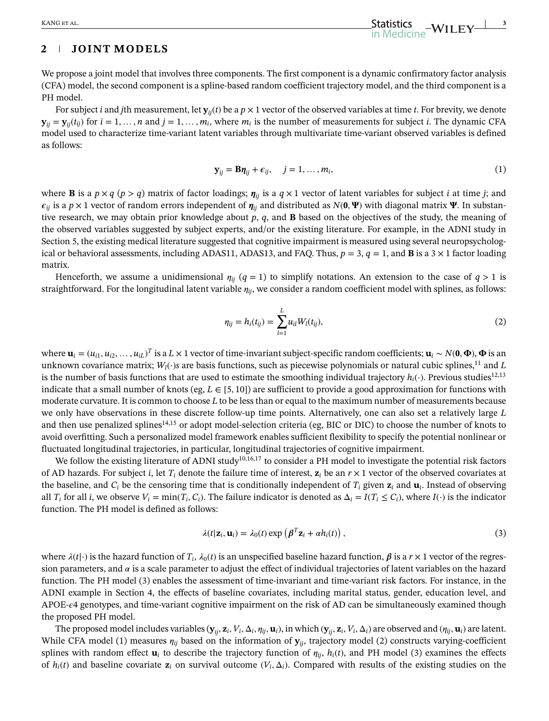#### **2 JOINT MODELS**

We propose a joint model that involves three components. The first component is a dynamic confirmatory factor analysis (CFA) model, the second component is a spline-based random coefficient trajectory model, and the third component is a PH model.

For subject *i* and *j*th measurement, let  $\mathbf{y}_{ii}(t)$  be a  $p \times 1$  vector of the observed variables at time *t*. For brevity, we denote  $\mathbf{y}_{ii} = \mathbf{y}_{ii}(t_{ii})$  for  $i = 1, \dots, n$  and  $j = 1, \dots, m_i$ , where  $m_i$  is the number of measurements for subject *i*. The dynamic CFA model used to characterize time-variant latent variables through multivariate time-variant observed variables is defined as follows:

$$
\mathbf{y}_{ij} = \mathbf{B}\boldsymbol{\eta}_{ij} + \epsilon_{ij}, \quad j = 1, \dots, m_i,
$$
 (1)

where **B** is a  $p \times q$  ( $p > q$ ) matrix of factor loadings;  $\eta_{ij}$  is a  $q \times 1$  vector of latent variables for subject *i* at time *j*; and  $\epsilon_{ij}$  is a *p* × 1 vector of random errors independent of  $\eta_{ij}$  and distributed as *N*(**0***,* **P**) with diagonal matrix **Ψ**. In substantive research, we may obtain prior knowledge about *p*, *q*, and **B** based on the objectives of the study, the meaning of the observed variables suggested by subject experts, and/or the existing literature. For example, in the ADNI study in Section 5, the existing medical literature suggested that cognitive impairment is measured using several neuropsychological or behavioral assessments, including ADAS11, ADAS13, and FAQ. Thus,  $p = 3$ ,  $q = 1$ , and **B** is a  $3 \times 1$  factor loading matrix.

Henceforth, we assume a unidimensional  $\eta_{ii}$  ( $q = 1$ ) to simplify notations. An extension to the case of  $q > 1$  is straightforward. For the longitudinal latent variable  $\eta_{ij}$ , we consider a random coefficient model with splines, as follows:

$$
\eta_{ij} = h_i(t_{ij}) = \sum_{l=1}^{L} u_{il} W_l(t_{ij}), \qquad (2)
$$

where  $\mathbf{u}_i=(u_{i1},u_{i2},\ldots,u_{iL})^T$  is a  $L\times 1$  vector of time-invariant subject-specific random coefficients;  $\mathbf{u}_i\sim N(\mathbf{0},\mathbf{\Phi})$ ,  $\mathbf{\Phi}$  is an unknown covariance matrix;  $W_l(\cdot)$ *s* are basis functions, such as piecewise polynomials or natural cubic splines,<sup>11</sup> and *L* is the number of basis functions that are used to estimate the smoothing individual trajectory  $h_i(\cdot)$ . Previous studies<sup>12,13</sup> indicate that a small number of knots (eg,  $L \in [5, 10]$ ) are sufficient to provide a good approximation for functions with moderate curvature. It is common to choose *L* to be less than or equal to the maximum number of measurements because we only have observations in these discrete follow-up time points. Alternatively, one can also set a relatively large *L* and then use penalized splines<sup>14,15</sup> or adopt model-selection criteria (eg, BIC or DIC) to choose the number of knots to avoid overfitting. Such a personalized model framework enables sufficient flexibility to specify the potential nonlinear or fluctuated longitudinal trajectories, in particular, longitudinal trajectories of cognitive impairment.

We follow the existing literature of ADNI study<sup>10,16,17</sup> to consider a PH model to investigate the potential risk factors of AD hazards. For subject *i*, let  $T_i$  denote the failure time of interest,  $\mathbf{z}_i$  be an  $r \times 1$  vector of the observed covariates at the baseline, and  $C_i$  be the censoring time that is conditionally independent of  $T_i$  given  $z_i$  and  $u_i$ . Instead of observing all *T<sub>i</sub>* for all *i*, we observe  $V_i = \min(T_i, C_i)$ . The failure indicator is denoted as  $\Delta_i = I(T_i \le C_i)$ , where  $I(\cdot)$  is the indicator function. The PH model is defined as follows:

$$
\lambda(t|\mathbf{z}_i, \mathbf{u}_i) = \lambda_0(t) \exp\left(\boldsymbol{\beta}^T \mathbf{z}_i + \alpha h_i(t)\right),\tag{3}
$$

where  $\lambda(t|\cdot)$  is the hazard function of  $T_i$ ,  $\lambda_0(t)$  is an unspecified baseline hazard function,  $\beta$  is a  $r \times 1$  vector of the regression parameters, and  $\alpha$  is a scale parameter to adjust the effect of individual trajectories of latent variables on the hazard function. The PH model (3) enables the assessment of time-invariant and time-variant risk factors. For instance, in the ADNI example in Section 4, the effects of baseline covariates, including marital status, gender, education level, and APOE- $\epsilon$ 4 genotypes, and time-variant cognitive impairment on the risk of AD can be simultaneously examined though the proposed PH model.

The proposed model includes variables ( $y_{ij}$ ,  $z_i$ ,  $V_i$ ,  $\Delta_i$ ,  $\eta_{ij}$ ,  $\mathbf{u}_i$ ), in which ( $y_{ij}$ ,  $z_i$ ,  $V_i$ ,  $\Delta_i$ ) are observed and ( $\eta_{ij}$ ,  $\mathbf{u}_i$ ) are latent. While CFA model (1) measures  $\eta_{ij}$  based on the information of  $\mathbf{y}_{ij}$ , trajectory model (2) constructs varying-coefficient splines with random effect  $\mathbf{u}_i$  to describe the trajectory function of  $\eta_{ii}$ ,  $h_i(t)$ , and PH model (3) examines the effects of  $h_i(t)$  and baseline covariate  $z_i$  on survival outcome  $(V_i, \Delta_i)$ . Compared with results of the existing studies on the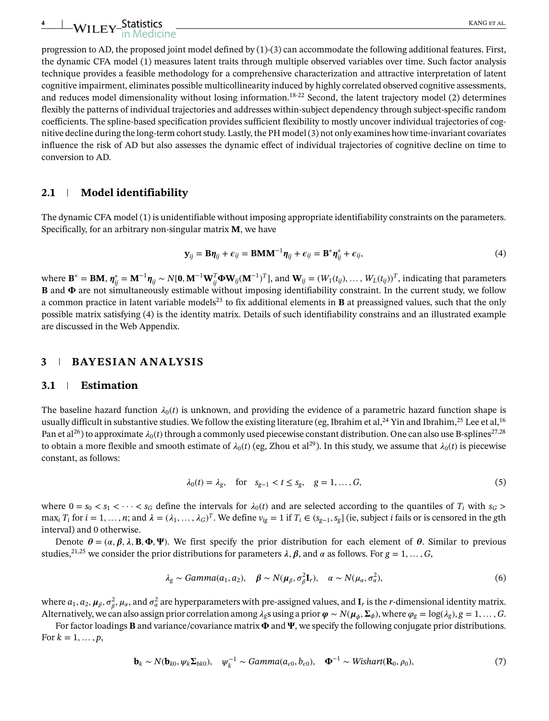progression to AD, the proposed joint model defined by  $(1)-(3)$  can accommodate the following additional features. First, the dynamic CFA model (1) measures latent traits through multiple observed variables over time. Such factor analysis technique provides a feasible methodology for a comprehensive characterization and attractive interpretation of latent cognitive impairment, eliminates possible multicollinearity induced by highly correlated observed cognitive assessments, and reduces model dimensionality without losing information.<sup>18-22</sup> Second, the latent trajectory model (2) determines flexibly the patterns of individual trajectories and addresses within-subject dependency through subject-specific random coefficients. The spline-based specification provides sufficient flexibility to mostly uncover individual trajectories of cognitive decline during the long-term cohort study. Lastly, the PH model (3) not only examines how time-invariant covariates influence the risk of AD but also assesses the dynamic effect of individual trajectories of cognitive decline on time to conversion to AD.

#### **2.1 Model identifiability**

The dynamic CFA model (1) is unidentifiable without imposing appropriate identifiability constraints on the parameters. Specifically, for an arbitrary non-singular matrix **M**, we have

$$
\mathbf{y}_{ij} = \mathbf{B}\boldsymbol{\eta}_{ij} + \boldsymbol{\epsilon}_{ij} = \mathbf{B}\mathbf{M}\mathbf{M}^{-1}\boldsymbol{\eta}_{ij} + \boldsymbol{\epsilon}_{ij} = \mathbf{B}^*\boldsymbol{\eta}_{ij}^* + \boldsymbol{\epsilon}_{ij},
$$
\n(4)

where  $\mathbf{B}^* = \mathbf{B}\mathbf{M}$ ,  $\boldsymbol{\eta}^*_{ij} = \mathbf{M}^{-1}\boldsymbol{\eta}_{ij} \sim N[\mathbf{0},\mathbf{M}^{-1}\mathbf{W}_{ij}^T\mathbf{\Phi}\mathbf{W}_{ij}(\mathbf{M}^{-1})^T]$ , and  $\mathbf{W}_{ij} = (W_1(t_{ij}),\ldots,W_L(t_{ij}))^T$ , indicating that parameters  ${\bf B}$  and  $\pmb{\Phi}$  are not simultaneously estimable without imposing identifiability constraint. In the current study, we follow a common practice in latent variable models<sup>23</sup> to fix additional elements in **B** at preassigned values, such that the only possible matrix satisfying (4) is the identity matrix. Details of such identifiability constrains and an illustrated example are discussed in the Web Appendix.

#### **3 BAYESIAN ANALYSIS**

#### **3.1 Estimation**

The baseline hazard function  $\lambda_0(t)$  is unknown, and providing the evidence of a parametric hazard function shape is usually difficult in substantive studies. We follow the existing literature (eg, Ibrahim et al,  $^{24}$  Yin and Ibrahim,  $^{25}$  Lee et al,  $^{16}$ Pan et al<sup>26</sup>) to approximate  $\lambda_0(t)$  through a commonly used piecewise constant distribution. One can also use B-splines<sup>27,28</sup> to obtain a more flexible and smooth estimate of  $\lambda_0(t)$  (eg, Zhou et al<sup>29</sup>). In this study, we assume that  $\lambda_0(t)$  is piecewise constant, as follows:

$$
\lambda_0(t) = \lambda_g, \quad \text{for} \quad s_{g-1} < t \le s_g, \quad g = 1, \dots, G,\tag{5}
$$

where  $0 = s_0 < s_1 < \cdots < s_G$  define the intervals for  $\lambda_0(t)$  and are selected according to the quantiles of  $T_i$  with  $s_G$  $\max_i T_i$  for  $i = 1, ..., n$ ; and  $\lambda = (\lambda_1, ..., \lambda_G)^T$ . We define  $v_{ig} = 1$  if  $T_i \in (s_{g-1}, s_g]$  (ie, subject *i* fails or is censored in the gth interval) and 0 otherwise.

Denote  $\theta = (\alpha, \beta, \lambda, B, \Phi, \Psi)$ . We first specify the prior distribution for each element of  $\theta$ . Similar to previous studies,<sup>21,25</sup> we consider the prior distributions for parameters  $\lambda$ ,  $\beta$ , and  $\alpha$  as follows. For  $g = 1, \ldots, G$ ,

$$
\lambda_{g} \sim \text{Gamma}(a_1, a_2), \quad \beta \sim N(\mu_{\beta}, \sigma_{\beta}^{2} \mathbf{I}_r), \quad \alpha \sim N(\mu_{\alpha}, \sigma_{\alpha}^{2}), \tag{6}
$$

where  $a_1, a_2, \mu_\beta, \sigma_\beta^2, \mu_\alpha$ , and  $\sigma_\alpha^2$  are hyperparameters with pre-assigned values, and  $\bf{I}_r$  is the *r*-dimensional identity matrix. Alternatively, we can also assign prior correlation among  $\lambda_g$ s using a prior  $\varphi \sim N(\mu_d, \Sigma_\phi)$ , where  $\varphi_g = \log(\lambda_g)$ ,  $g = 1, \ldots, G$ .

For factor loadings **B** and variance/covariance matrix  $\Phi$  and  $\Psi$ , we specify the following conjugate prior distributions. For  $k = 1, ..., p$ ,

$$
\mathbf{b}_k \sim N(\mathbf{b}_{k0}, \psi_k \Sigma_{b k0}), \quad \psi_k^{-1} \sim \text{Gamma}(a_{\epsilon 0}, b_{\epsilon 0}), \quad \Phi^{-1} \sim \text{Wishart}(\mathbf{R}_0, \rho_0), \tag{7}
$$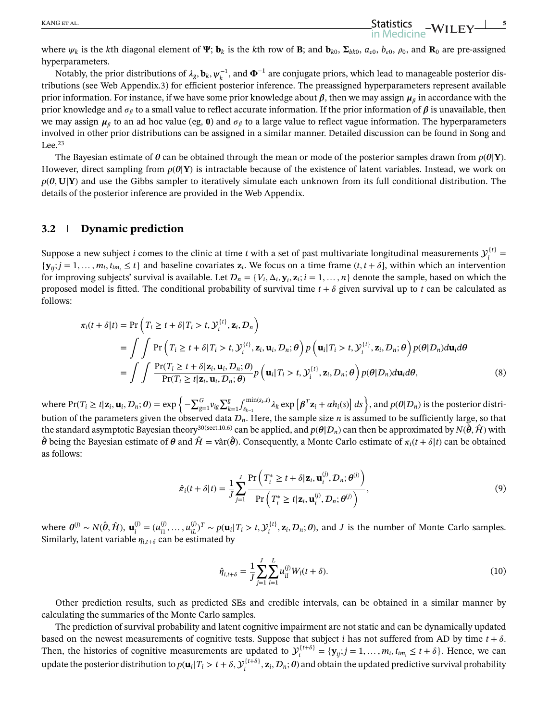where  $\psi_k$  is the *k*th diagonal element of  $\Psi$ ;  $\mathbf{b}_k$  is the *k*th row of **B**; and  $\mathbf{b}_{k0}$ ,  $\Sigma_{bk0}$ ,  $a_{\epsilon0}$ ,  $b_{\epsilon0}$ ,  $\rho_0$ , and  $\mathbf{R}_0$  are pre-assigned hyperparameters.

Notably, the prior distributions of  $\lambda_g$ ,  $\mathbf{b}_k$ ,  $\psi_k^{-1}$ , and  $\Phi^{-1}$  are conjugate priors, which lead to manageable posterior distributions (see Web Appendix.3) for efficient posterior inference. The preassigned hyperparameters represent available prior information. For instance, if we have some prior knowledge about  $\beta$ , then we may assign  $\mu_{\beta}$  in accordance with the prior knowledge and  $\sigma_\beta$  to a small value to reflect accurate information. If the prior information of  $\beta$  is unavailable, then we may assign  $\mu_\beta$  to an ad hoc value (eg, **0**) and  $\sigma_\beta$  to a large value to reflect vague information. The hyperparameters involved in other prior distributions can be assigned in a similar manner. Detailed discussion can be found in Song and Lee. $23$ 

The Bayesian estimate of  $\theta$  can be obtained through the mean or mode of the posterior samples drawn from  $p(\theta|Y)$ . However, direct sampling from  $p(\theta|Y)$  is intractable because of the existence of latent variables. Instead, we work on  $p(\theta, U|Y)$  and use the Gibbs sampler to iteratively simulate each unknown from its full conditional distribution. The details of the posterior inference are provided in the Web Appendix.

#### **3.2 Dynamic prediction**

Suppose a new subject *i* comes to the clinic at time *t* with a set of past multivariate longitudinal measurements  $y_i^{(t)} =$  ${\bf y}_{ij}$ ;  $j = 1, \ldots, m_i, t_{im_i} \le t$  and baseline covariates  ${\bf z}_i$ . We focus on a time frame  $(t, t + \delta)$ , within which an intervention for improving subjects' survival is available. Let  $D_n = \{V_i, \Delta_i, \mathbf{y}_i, \mathbf{z}_i; i = 1, ..., n\}$  denote the sample, based on which the proposed model is fitted. The conditional probability of survival time  $t + \delta$  given survival up to  $t$  can be calculated as follows:

$$
\pi_i(t + \delta|t) = \Pr\left(T_i \ge t + \delta|T_i > t, \mathcal{Y}_i^{(t)}, \mathbf{z}_i, \mathcal{D}_n\right)
$$
\n
$$
= \int \int \Pr\left(T_i \ge t + \delta|T_i > t, \mathcal{Y}_i^{(t)}, \mathbf{z}_i, \mathbf{u}_i, \mathcal{D}_n; \theta\right) p\left(\mathbf{u}_i|T_i > t, \mathcal{Y}_i^{(t)}, \mathbf{z}_i, \mathcal{D}_n; \theta\right) p(\theta|\mathcal{D}_n) d\mathbf{u}_i d\theta
$$
\n
$$
= \int \int \frac{\Pr(T_i \ge t + \delta|\mathbf{z}_i, \mathbf{u}_i, \mathcal{D}_n; \theta)}{\Pr(T_i \ge t|\mathbf{z}_i, \mathbf{u}_i, \mathcal{D}_n; \theta)} p\left(\mathbf{u}_i|T_i > t, \mathcal{Y}_i^{(t)}, \mathbf{z}_i, \mathcal{D}_n; \theta\right) p(\theta|\mathcal{D}_n) d\mathbf{u}_i d\theta, \tag{8}
$$

where  $Pr(T_i \ge t | \mathbf{z}_i, \mathbf{u}_i, \mathcal{D}_n; \theta) = \exp \left\{-\sum_{g=1}^G v_{ig} \sum_{k=1}^g \int_{s_{k-1}}^{\min(s_k, t)} \lambda_k \exp \left[\beta^T \mathbf{z}_i + \alpha h_i(s)\right] ds\right\}$ , and  $p(\theta | \mathcal{D}_n)$  is the posterior distribution of the parameters given the observed data  $\mathcal{D}_n$ . Here, the sample size  $n$  is assumed to be sufficiently large, so that the standard asymptotic Bayesian theory<sup>30(sect.10.6)</sup> can be applied, and  $p(\theta|\mathcal{D}_n)$  can then be approximated by  $N(\hat{\theta}, \hat{\mathcal{H}})$  with  $\hat{\theta}$  being the Bayesian estimate of  $\theta$  and  $\hat{\mathcal{H}} = \hat{\text{var}}(\hat{\theta})$ . Consequently, a Monte Carlo estimate of  $\pi_i(t + \delta|t)$  can be obtained as follows:

$$
\hat{\pi}_i(t+\delta|t) = \frac{1}{J} \sum_{j=1}^J \frac{\Pr\left(T_i^* \ge t + \delta | \mathbf{z}_i, \mathbf{u}_i^{(j)}, D_n; \boldsymbol{\theta}^{(j)}\right)}{\Pr\left(T_i^* \ge t | \mathbf{z}_i, \mathbf{u}_i^{(j)}, D_n; \boldsymbol{\theta}^{(j)}\right)},\tag{9}
$$

where  $\theta^{(j)} \sim N(\hat{\theta}, \hat{\mathcal{H}})$ ,  $\mathbf{u}_{i}^{(j)} = (u_{i1}^{(j)}, \dots, u_{iL}^{(j)})^T \sim p(\mathbf{u}_i | T_i > t, \mathcal{Y}_i^{\{t\}}, \mathbf{z}_i, \mathcal{D}_n; \theta)$ , and *J* is the number of Monte Carlo samples. Similarly, latent variable  $\eta_{i,t+\delta}$  can be estimated by

$$
\hat{\eta}_{i,t+\delta} = \frac{1}{J} \sum_{j=1}^{J} \sum_{l=1}^{L} u_{il}^{(j)} W_l(t+\delta).
$$
\n(10)

Other prediction results, such as predicted SEs and credible intervals, can be obtained in a similar manner by calculating the summaries of the Monte Carlo samples.

The prediction of survival probability and latent cognitive impairment are not static and can be dynamically updated based on the newest measurements of cognitive tests. Suppose that subject *i* has not suffered from AD by time  $t + \delta$ . Then, the histories of cognitive measurements are updated to  $y_i^{t+\delta} = {\bf y}_{ij}$ ;  $j = 1, ..., m_i$ ,  $t_{im_i} \le t + \delta$ . Hence, we can update the posterior distribution to  $p(\mathbf{u}_i|T_i > t + \delta, \mathcal{Y}_i^{\{t+\delta\}}, \mathbf{z}_i, \mathcal{D}_n; \theta)$  and obtain the updated predictive survival probability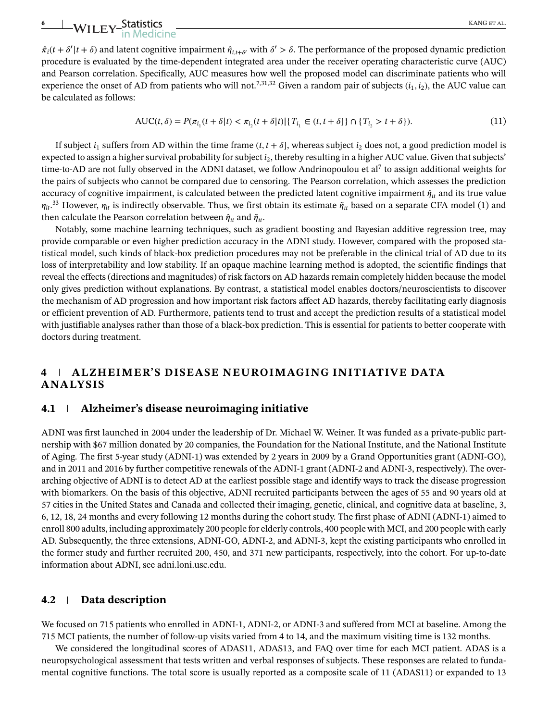### **EXAMPLEY-Statistics** KANG ET AL.

 $\hat{\pi}_i(t + \delta'|t + \delta)$  and latent cognitive impairment  $\hat{\eta}_{i,t+\delta'}$  with  $\delta' > \delta$ . The performance of the proposed dynamic prediction procedure is evaluated by the time-dependent integrated area under the receiver operating characteristic curve (AUC) and Pearson correlation. Specifically, AUC measures how well the proposed model can discriminate patients who will experience the onset of AD from patients who will not.<sup>7,31,32</sup> Given a random pair of subjects  $(i_1, i_2)$ , the AUC value can be calculated as follows:

$$
AUC(t, \delta) = P(\pi_{i_1}(t + \delta | t) < \pi_{i_2}(t + \delta | t) | \{T_{i_1} \in (t, t + \delta] \} \cap \{T_{i_2} > t + \delta\}).\tag{11}
$$

If subject  $i_1$  suffers from AD within the time frame  $(t, t + \delta)$ , whereas subject  $i_2$  does not, a good prediction model is expected to assign a higher survival probability for subject *i*2, thereby resulting in a higher AUC value. Given that subjects' time-to-AD are not fully observed in the ADNI dataset, we follow Andrinopoulou et al<sup>7</sup> to assign additional weights for the pairs of subjects who cannot be compared due to censoring. The Pearson correlation, which assesses the prediction accuracy of cognitive impairment, is calculated between the predicted latent cognitive impairment  $\hat{\eta}_{it}$  and its true value  $\eta_{it}$ .<sup>33</sup> However,  $\eta_{it}$  is indirectly observable. Thus, we first obtain its estimate  $\tilde{\eta}_{it}$  based on a separate CFA model (1) and then calculate the Pearson correlation between  $\hat{\eta}_{it}$  and  $\tilde{\eta}_{it}$ .

Notably, some machine learning techniques, such as gradient boosting and Bayesian additive regression tree, may provide comparable or even higher prediction accuracy in the ADNI study. However, compared with the proposed statistical model, such kinds of black-box prediction procedures may not be preferable in the clinical trial of AD due to its loss of interpretability and low stability. If an opaque machine learning method is adopted, the scientific findings that reveal the effects (directions and magnitudes) of risk factors on AD hazards remain completely hidden because the model only gives prediction without explanations. By contrast, a statistical model enables doctors/neuroscientists to discover the mechanism of AD progression and how important risk factors affect AD hazards, thereby facilitating early diagnosis or efficient prevention of AD. Furthermore, patients tend to trust and accept the prediction results of a statistical model with justifiable analyses rather than those of a black-box prediction. This is essential for patients to better cooperate with doctors during treatment.

#### **4 ALZHEIMER'S DISEASE NEUROIMAGING INITIATIVE DATA ANALYSIS**

#### **4.1 Alzheimer's disease neuroimaging initiative**

ADNI was first launched in 2004 under the leadership of Dr. Michael W. Weiner. It was funded as a private-public partnership with \$67 million donated by 20 companies, the Foundation for the National Institute, and the National Institute of Aging. The first 5-year study (ADNI-1) was extended by 2 years in 2009 by a Grand Opportunities grant (ADNI-GO), and in 2011 and 2016 by further competitive renewals of the ADNI-1 grant (ADNI-2 and ADNI-3, respectively). The overarching objective of ADNI is to detect AD at the earliest possible stage and identify ways to track the disease progression with biomarkers. On the basis of this objective, ADNI recruited participants between the ages of 55 and 90 years old at 57 cities in the United States and Canada and collected their imaging, genetic, clinical, and cognitive data at baseline, 3, 6, 12, 18, 24 months and every following 12 months during the cohort study. The first phase of ADNI (ADNI-1) aimed to enroll 800 adults, including approximately 200 people for elderly controls, 400 people with MCI, and 200 people with early AD. Subsequently, the three extensions, ADNI-GO, ADNI-2, and ADNI-3, kept the existing participants who enrolled in the former study and further recruited 200, 450, and 371 new participants, respectively, into the cohort. For up-to-date information about ADNI, see adni.loni.usc.edu.

#### **4.2 Data description**

We focused on 715 patients who enrolled in ADNI-1, ADNI-2, or ADNI-3 and suffered from MCI at baseline. Among the 715 MCI patients, the number of follow-up visits varied from 4 to 14, and the maximum visiting time is 132 months.

We considered the longitudinal scores of ADAS11, ADAS13, and FAQ over time for each MCI patient. ADAS is a neuropsychological assessment that tests written and verbal responses of subjects. These responses are related to fundamental cognitive functions. The total score is usually reported as a composite scale of 11 (ADAS11) or expanded to 13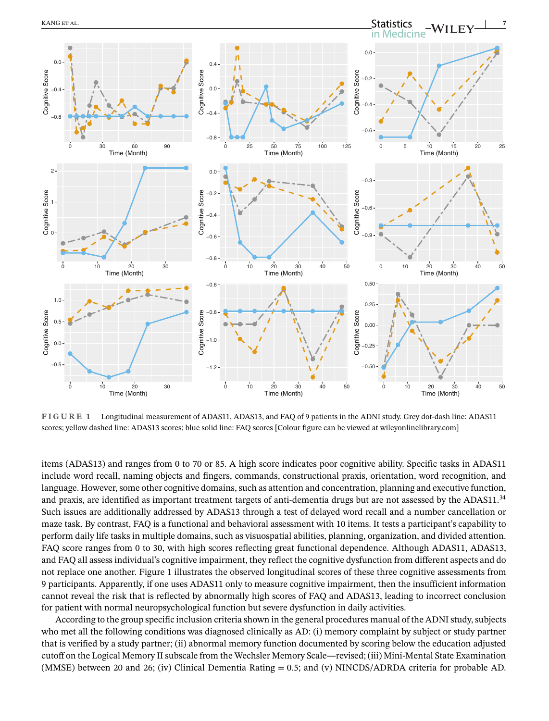

**FIGURE 1** Longitudinal measurement of ADAS11, ADAS13, and FAQ of 9 patients in the ADNI study. Grey dot-dash line: ADAS11 scores; yellow dashed line: ADAS13 scores; blue solid line: FAQ scores [Colour figure can be viewed at [wileyonlinelibrary.com\]](http://wileyonlinelibrary.com)

items (ADAS13) and ranges from 0 to 70 or 85. A high score indicates poor cognitive ability. Specific tasks in ADAS11 include word recall, naming objects and fingers, commands, constructional praxis, orientation, word recognition, and language. However, some other cognitive domains, such as attention and concentration, planning and executive function, and praxis, are identified as important treatment targets of anti-dementia drugs but are not assessed by the ADAS11.34 Such issues are additionally addressed by ADAS13 through a test of delayed word recall and a number cancellation or maze task. By contrast, FAQ is a functional and behavioral assessment with 10 items. It tests a participant's capability to perform daily life tasks in multiple domains, such as visuospatial abilities, planning, organization, and divided attention. FAQ score ranges from 0 to 30, with high scores reflecting great functional dependence. Although ADAS11, ADAS13, and FAQ all assess individual's cognitive impairment, they reflect the cognitive dysfunction from different aspects and do not replace one another. Figure 1 illustrates the observed longitudinal scores of these three cognitive assessments from 9 participants. Apparently, if one uses ADAS11 only to measure cognitive impairment, then the insufficient information cannot reveal the risk that is reflected by abnormally high scores of FAQ and ADAS13, leading to incorrect conclusion for patient with normal neuropsychological function but severe dysfunction in daily activities.

According to the group specific inclusion criteria shown in the general procedures manual of the ADNI study, subjects who met all the following conditions was diagnosed clinically as AD: (i) memory complaint by subject or study partner that is verified by a study partner; (ii) abnormal memory function documented by scoring below the education adjusted cutoff on the Logical Memory II subscale from the Wechsler Memory Scale—revised; (iii) Mini-Mental State Examination (MMSE) between 20 and 26; (iv) Clinical Dementia Rating = 0*.*5; and (v) NINCDS/ADRDA criteria for probable AD.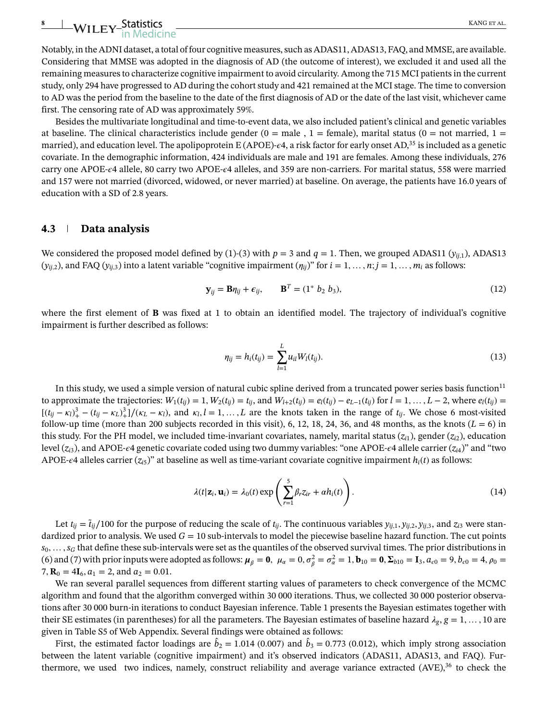## WILEY-Statistics KANG ET AL.

Notably, in the ADNI dataset, a total of four cognitive measures, such as ADAS11, ADAS13, FAQ, and MMSE, are available. Considering that MMSE was adopted in the diagnosis of AD (the outcome of interest), we excluded it and used all the remaining measures to characterize cognitive impairment to avoid circularity. Among the 715 MCI patients in the current study, only 294 have progressed to AD during the cohort study and 421 remained at the MCI stage. The time to conversion to AD was the period from the baseline to the date of the first diagnosis of AD or the date of the last visit, whichever came first. The censoring rate of AD was approximately 59%.

Besides the multivariate longitudinal and time-to-event data, we also included patient's clinical and genetic variables at baseline. The clinical characteristics include gender ( $0 =$  male ,  $1 =$  female), marital status ( $0 =$  not married,  $1 =$ married), and education level. The apolipoprotein E (APOE)- $\epsilon$ 4, a risk factor for early onset AD,<sup>35</sup> is included as a genetic covariate. In the demographic information, 424 individuals are male and 191 are females. Among these individuals, 276 carry one APOE-4 allele, 80 carry two APOE-4 alleles, and 359 are non-carriers. For marital status, 558 were married and 157 were not married (divorced, widowed, or never married) at baseline. On average, the patients have 16.0 years of education with a SD of 2.8 years.

#### **4.3 Data analysis**

We considered the proposed model defined by (1)-(3) with  $p = 3$  and  $q = 1$ . Then, we grouped ADAS11 ( $y_{ii,1}$ ), ADAS13  $(y_{ii,2})$ , and FAQ  $(y_{ii,3})$  into a latent variable "cognitive impairment  $(\eta_{ii})$ " for  $i = 1, \ldots, n; j = 1, \ldots, m_i$  as follows:

$$
\mathbf{y}_{ij} = \mathbf{B}\eta_{ij} + \epsilon_{ij}, \qquad \mathbf{B}^T = (1^* \ b_2 \ b_3), \tag{12}
$$

where the first element of **B** was fixed at 1 to obtain an identified model. The trajectory of individual's cognitive impairment is further described as follows:

$$
\eta_{ij} = h_i(t_{ij}) = \sum_{l=1}^{L} u_{il} W_l(t_{ij}).
$$
\n(13)

In this study, we used a simple version of natural cubic spline derived from a truncated power series basis function $11$ to approximate the trajectories:  $W_1(t_{ij}) = 1$ ,  $W_2(t_{ij}) = t_{ij}$ , and  $W_{l+2}(t_{ij}) = e_l(t_{ij}) - e_{L-1}(t_{ij})$  for  $l = 1, ..., L-2$ , where  $e_l(t_{ij}) =$  $[(t_{ij} - \kappa_l)^3 + (t_{ij} - \kappa_l)^3] / (\kappa_L - \kappa_l)$ , and  $\kappa_l, l = 1, ..., L$  are the knots taken in the range of  $t_{ij}$ . We chose 6 most-visited follow-up time (more than 200 subjects recorded in this visit), 6, 12, 18, 24, 36, and 48 months, as the knots  $(L = 6)$  in this study. For the PH model, we included time-invariant covariates, namely, marital status  $(z_{i1})$ , gender  $(z_{i2})$ , education level ( $z_i$ <sub>3</sub>), and APOE- $\epsilon$ 4 genetic covariate coded using two dummy variables: "one APOE- $\epsilon$ 4 allele carrier ( $z_i$ <sup>4</sup>)" and "two APOE- $\epsilon$ 4 alleles carrier ( $z_{i5}$ )" at baseline as well as time-variant covariate cognitive impairment  $h_i(t)$  as follows:

$$
\lambda(t|\mathbf{z}_i, \mathbf{u}_i) = \lambda_0(t) \exp\left(\sum_{r=1}^5 \beta_r z_{ir} + \alpha h_i(t)\right).
$$
\n(14)

Let  $t_{ij} = \tilde{t}_{ij}/100$  for the purpose of reducing the scale of  $t_{ij}$ . The continuous variables  $y_{ij,1}, y_{ij,2}, y_{ij,3}$ , and  $z_{i3}$  were standardized prior to analysis. We used  $G = 10$  sub-intervals to model the piecewise baseline hazard function. The cut points  $s_0, \ldots, s_G$  that define these sub-intervals were set as the quantiles of the observed survival times. The prior distributions in (6) and (7) with prior inputs were adopted as follows:  $\mu_{\beta} = 0$ ,  $\mu_{\alpha} = 0$ ,  $\sigma_{\beta}^2 = \sigma_{\alpha}^2 = 1$ ,  $\mathbf{b}_{10} = \mathbf{0}$ ,  $\Sigma_{b10} = \mathbf{I}_3$ ,  $a_{\epsilon 0} = 9$ ,  $b_{\epsilon 0} = 4$ ,  $\rho_0 = 1$ 7,  $\mathbf{R}_0 = 4\mathbf{I}_6$ ,  $a_1 = 2$ , and  $a_2 = 0.01$ .

We ran several parallel sequences from different starting values of parameters to check convergence of the MCMC algorithm and found that the algorithm converged within 30 000 iterations. Thus, we collected 30 000 posterior observations after 30 000 burn-in iterations to conduct Bayesian inference. Table 1 presents the Bayesian estimates together with their SE estimates (in parentheses) for all the parameters. The Bayesian estimates of baseline hazard  $\lambda_g$ ,  $g = 1, \ldots, 10$  are given in Table S5 of Web Appendix. Several findings were obtained as follows:

First, the estimated factor loadings are  $\hat{b}_2 = 1.014$  (0.007) and  $\hat{b}_3 = 0.773$  (0.012), which imply strong association between the latent variable (cognitive impairment) and it's observed indicators (ADAS11, ADAS13, and FAQ). Furthermore, we used two indices, namely, construct reliability and average variance extracted (AVE),<sup>36</sup> to check the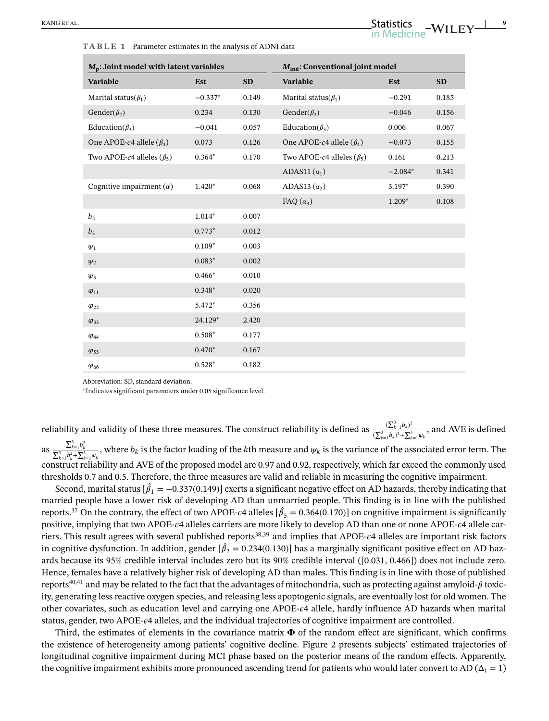**TABLE 1** Parameter estimates in the analysis of ADNI data

| $M_p$ : Joint model with latent variables               |           | M <sub>ind</sub> : Conventional joint model |                                                         |           |           |
|---------------------------------------------------------|-----------|---------------------------------------------|---------------------------------------------------------|-----------|-----------|
| <b>Variable</b>                                         | Est       | <b>SD</b>                                   | <b>Variable</b>                                         | Est       | <b>SD</b> |
| Marital status( $\beta_1$ )                             | $-0.337*$ | 0.149                                       | Marital status( $\beta_1$ )                             | $-0.291$  | 0.185     |
| Gender( $\beta_2$ )                                     | 0.234     | 0.130                                       | Gender( $\beta_2$ )                                     | $-0.046$  | 0.156     |
| Education( $\beta_3$ )                                  | $-0.041$  | 0.057                                       | Education( $\beta_3$ )                                  | 0.006     | 0.067     |
| One APOE- $\epsilon$ 4 allele ( $\beta_4$ )             | 0.073     | 0.126                                       | One APOE- $\epsilon$ 4 allele ( $\beta_4$ )             | $-0.073$  | 0.155     |
| Two APOE- $\epsilon$ 4 alleles ( $\beta$ <sub>5</sub> ) | $0.364*$  | 0.170                                       | Two APOE- $\epsilon$ 4 alleles ( $\beta$ <sub>5</sub> ) | 0.161     | 0.213     |
|                                                         |           |                                             | ADAS11 $(\alpha_1)$                                     | $-2.084*$ | 0.341     |
| Cognitive impairment $(\alpha)$                         | $1.420*$  | 0.068                                       | ADAS13 $(\alpha_2)$                                     | 3.197*    | 0.390     |
|                                                         |           |                                             | FAQ $(\alpha_3)$                                        | $1.209*$  | 0.108     |
| b <sub>2</sub>                                          | $1.014*$  | 0.007                                       |                                                         |           |           |
| $b_3$                                                   | $0.773*$  | 0.012                                       |                                                         |           |           |
| $\Psi_1$                                                | $0.109*$  | 0.003                                       |                                                         |           |           |
| $\Psi_2$                                                | $0.083*$  | 0.002                                       |                                                         |           |           |
| $\Psi_3$                                                | $0.466*$  | 0.010                                       |                                                         |           |           |
| $\varphi_{11}$                                          | $0.348*$  | 0.020                                       |                                                         |           |           |
| $\varphi_{22}$                                          | 5.472*    | 0.356                                       |                                                         |           |           |
| $\varphi_{33}$                                          | 24.129*   | 2.420                                       |                                                         |           |           |
| $\varphi_{44}$                                          | $0.508*$  | 0.177                                       |                                                         |           |           |
| $\varphi_{55}$                                          | $0.470*$  | 0.167                                       |                                                         |           |           |
| $\varphi_{66}$                                          | $0.528*$  | 0.182                                       |                                                         |           |           |

Abbreviation: SD, standard deviation.

<sup>∗</sup>Indicates significant parameters under 0.05 significance level.

reliability and validity of these three measures. The construct reliability is defined as  $\frac{(\sum_{k=1}^{3}b_k)^2}{(\sum_{k=1}^{3}k_k)^2}$  $\frac{\sum_{k=1}^{3} b_k}{(\sum_{k=1}^{3} b_k)^2 + (\sum_{k=1}^{3} \psi_k)^2}$ , and AVE is defined as  $\frac{\sum_{k=1}^{3} b_k^2}{\sum_{k=1}^{3} b_k^2 + \sum_{k=1}^{3} \psi_k}$ , where  $b_k$  is the factor loading of the *k*th measure and  $\psi_k$  is the variance of the associated error term. The construct reliability and AVE of the proposed model are 0.97 and 0.92, respectively, which far exceed the commonly used thresholds 0.7 and 0.5. Therefore, the three measures are valid and reliable in measuring the cognitive impairment.

Second, marital status [ $\hat{\beta}_1$  =  $-0.337(0.149)$ ] exerts a significant negative effect on AD hazards, thereby indicating that married people have a lower risk of developing AD than unmarried people. This finding is in line with the published reports.<sup>37</sup> On the contrary, the effect of two APOE- $\epsilon$ 4 alleles [ $\hat{\beta}_5 = 0.364(0.170)$ ] on cognitive impairment is significantly positive, implying that two APOE- $\epsilon$ 4 alleles carriers are more likely to develop AD than one or none APOE- $\epsilon$ 4 allele carriers. This result agrees with several published reports<sup>38,39</sup> and implies that APOE- $\epsilon$ 4 alleles are important risk factors in cognitive dysfunction. In addition, gender  $[\hat{\beta}_2=0.234(0.130)]$  has a marginally significant positive effect on AD hazards because its 95% credible interval includes zero but its 90% credible interval ([0.031, 0.466]) does not include zero. Hence, females have a relatively higher risk of developing AD than males. This finding is in line with those of published reports<sup>40,41</sup> and may be related to the fact that the advantages of mitochondria, such as protecting against amyloid- $\beta$  toxicity, generating less reactive oxygen species, and releasing less apoptogenic signals, are eventually lost for old women. The other covariates, such as education level and carrying one APOE-4 allele, hardly influence AD hazards when marital status, gender, two APOE-4 alleles, and the individual trajectories of cognitive impairment are controlled.

Third, the estimates of elements in the covariance matrix  $\Phi$  of the random effect are significant, which confirms the existence of heterogeneity among patients' cognitive decline. Figure 2 presents subjects' estimated trajectories of longitudinal cognitive impairment during MCI phase based on the posterior means of the random effects. Apparently, the cognitive impairment exhibits more pronounced ascending trend for patients who would later convert to AD ( $\Delta_i = 1$ )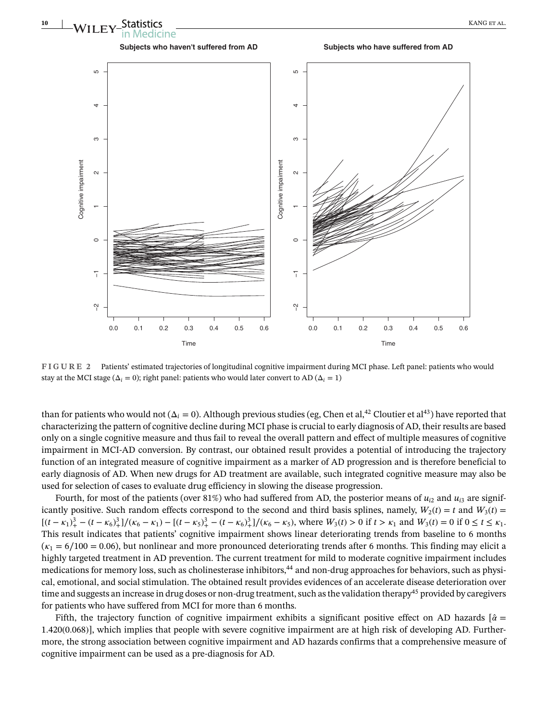

**FIGURE 2** Patients' estimated trajectories of longitudinal cognitive impairment during MCI phase. Left panel: patients who would stay at the MCI stage ( $\Delta_i = 0$ ); right panel: patients who would later convert to AD ( $\Delta_i = 1$ )

than for patients who would not ( $\Delta_i = 0$ ). Although previous studies (eg, Chen et al,<sup>42</sup> Cloutier et al<sup>43</sup>) have reported that characterizing the pattern of cognitive decline during MCI phase is crucial to early diagnosis of AD, their results are based only on a single cognitive measure and thus fail to reveal the overall pattern and effect of multiple measures of cognitive impairment in MCI-AD conversion. By contrast, our obtained result provides a potential of introducing the trajectory function of an integrated measure of cognitive impairment as a marker of AD progression and is therefore beneficial to early diagnosis of AD. When new drugs for AD treatment are available, such integrated cognitive measure may also be used for selection of cases to evaluate drug efficiency in slowing the disease progression.

Fourth, for most of the patients (over 81%) who had suffered from AD, the posterior means of  $u_{i2}$  and  $u_{i3}$  are significantly positive. Such random effects correspond to the second and third basis splines, namely,  $W_2(t) = t$  and  $W_3(t) =$  $[(t - \kappa_1)_+^3 - (t - \kappa_6)_+^3]/(\kappa_6 - \kappa_1) - [(t - \kappa_5)_+^3 - (t - \kappa_6)_+^3]/(\kappa_6 - \kappa_5)$ , where  $W_3(t) > 0$  if  $t > \kappa_1$  and  $W_3(t) = 0$  if  $0 \le t \le \kappa_1$ . This result indicates that patients' cognitive impairment shows linear deteriorating trends from baseline to 6 months  $(\kappa_1 = 6/100 = 0.06)$ , but nonlinear and more pronounced deteriorating trends after 6 months. This finding may elicit a highly targeted treatment in AD prevention. The current treatment for mild to moderate cognitive impairment includes medications for memory loss, such as cholinesterase inhibitors,44 and non-drug approaches for behaviors, such as physical, emotional, and social stimulation. The obtained result provides evidences of an accelerate disease deterioration over time and suggests an increase in drug doses or non-drug treatment, such as the validation therapy<sup>45</sup> provided by caregivers for patients who have suffered from MCI for more than 6 months.

Fifth, the trajectory function of cognitive impairment exhibits a significant positive effect on AD hazards  $\alpha$ 1*.*420(0*.*068)], which implies that people with severe cognitive impairment are at high risk of developing AD. Furthermore, the strong association between cognitive impairment and AD hazards confirms that a comprehensive measure of cognitive impairment can be used as a pre-diagnosis for AD.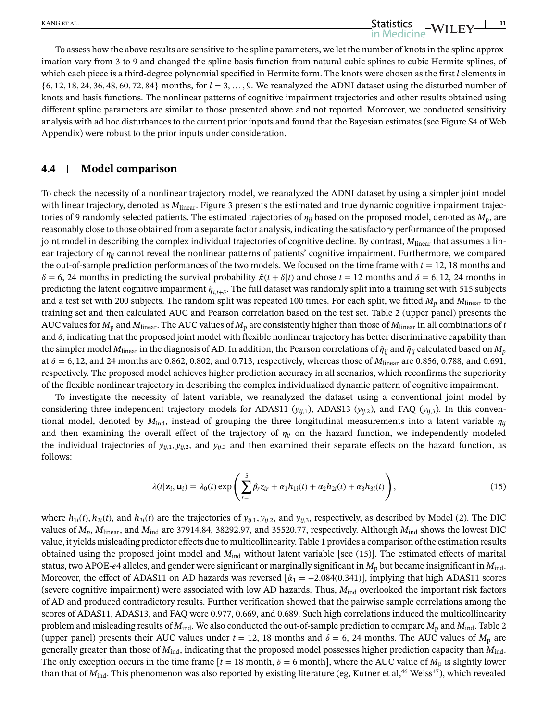To assess how the above results are sensitive to the spline parameters, we let the number of knots in the spline approximation vary from 3 to 9 and changed the spline basis function from natural cubic splines to cubic Hermite splines, of which each piece is a third-degree polynomial specified in Hermite form. The knots were chosen as the first *l* elements in {6*,* 12*,* 18*,* 24*,* 36*,* 48*,* 60*,* 72*,* 84} months, for *l* = 3*,* …*,* 9. We reanalyzed the ADNI dataset using the disturbed number of knots and basis functions. The nonlinear patterns of cognitive impairment trajectories and other results obtained using different spline parameters are similar to those presented above and not reported. Moreover, we conducted sensitivity analysis with ad hoc disturbances to the current prior inputs and found that the Bayesian estimates (see Figure S4 of Web Appendix) were robust to the prior inputs under consideration.

#### **4.4 Model comparison**

To check the necessity of a nonlinear trajectory model, we reanalyzed the ADNI dataset by using a simpler joint model with linear trajectory, denoted as  $M_{linear}$ . Figure 3 presents the estimated and true dynamic cognitive impairment trajectories of 9 randomly selected patients. The estimated trajectories of  $\eta_{ii}$  based on the proposed model, denoted as  $M_{\text{p}}$ , are reasonably close to those obtained from a separate factor analysis, indicating the satisfactory performance of the proposed joint model in describing the complex individual trajectories of cognitive decline. By contrast,  $M_{linear}$  that assumes a linear trajectory of  $\eta_{ij}$  cannot reveal the nonlinear patterns of patients' cognitive impairment. Furthermore, we compared the out-of-sample prediction performances of the two models. We focused on the time frame with  $t = 12, 18$  months and  $\delta = 6$ , 24 months in predicting the survival probability  $\hat{\pi}(t + \delta|t)$  and chose  $t = 12$  months and  $\delta = 6, 12, 24$  months in predicting the latent cognitive impairment  $\hat{\eta}_{i,t+\delta}$ . The full dataset was randomly split into a training set with 515 subjects and a test set with 200 subjects. The random split was repeated 100 times. For each split, we fitted *Mp* and *M*linear to the training set and then calculated AUC and Pearson correlation based on the test set. Table 2 (upper panel) presents the AUC values for  $M_p$  and  $M_{linear}$ . The AUC values of  $M_p$  are consistently higher than those of  $M_{linear}$  in all combinations of *t* and  $\delta$ , indicating that the proposed joint model with flexible nonlinear trajectory has better discriminative capability than the simpler model  $M_{linear}$  in the diagnosis of AD. In addition, the Pearson correlations of  $\hat{\eta}_{ii}$  and  $\tilde{\eta}_{ii}$  calculated based on  $M_p$ at  $\delta = 6, 12,$  and 24 months are 0.862, 0.802, and 0.713, respectively, whereas those of  $M_{linear}$  are 0.856, 0.788, and 0.691, respectively. The proposed model achieves higher prediction accuracy in all scenarios, which reconfirms the superiority of the flexible nonlinear trajectory in describing the complex individualized dynamic pattern of cognitive impairment.

To investigate the necessity of latent variable, we reanalyzed the dataset using a conventional joint model by considering three independent trajectory models for ADAS11  $(y_{ij,1})$ , ADAS13  $(y_{ij,2})$ , and FAQ  $(y_{ij,3})$ . In this conventional model, denoted by  $M_{\text{ind}}$ , instead of grouping the three longitudinal measurements into a latent variable  $\eta_{ij}$ and then examining the overall effect of the trajectory of  $\eta_{ij}$  on the hazard function, we independently modeled the individual trajectories of  $y_{ij,1}, y_{ij,2}$ , and  $y_{ij,3}$  and then examined their separate effects on the hazard function, as follows:

$$
\lambda(t|\mathbf{z}_i,\mathbf{u}_i) = \lambda_0(t) \exp\left(\sum_{r=1}^5 \beta_r z_{ir} + \alpha_1 h_{1i}(t) + \alpha_2 h_{2i}(t) + \alpha_3 h_{3i}(t)\right),\tag{15}
$$

where  $h_{1i}(t)$ ,  $h_{2i}(t)$ , and  $h_{3i}(t)$  are the trajectories of  $y_{ii,1}, y_{ii,2}$ , and  $y_{ii,3}$ , respectively, as described by Model (2). The DIC values of  $M_p$ ,  $M_{linear}$ , and  $M_{ind}$  are 37914.84, 38292.97, and 35520.77, respectively. Although  $M_{ind}$  shows the lowest DIC value, it yields misleading predictor effects due to multicollinearity. Table 1 provides a comparison of the estimation results obtained using the proposed joint model and  $M_{\text{ind}}$  without latent variable [see (15)]. The estimated effects of marital status, two APOE- $\epsilon$ 4 alleles, and gender were significant or marginally significant in  $M_p$  but became insignificant in  $M_{ind}$ . Moreover, the effect of ADAS11 on AD hazards was reversed  $\left[\hat{a}_1 = -2.084(0.341)\right]$ , implying that high ADAS11 scores (severe cognitive impairment) were associated with low AD hazards. Thus,  $M_{ind}$  overlooked the important risk factors of AD and produced contradictory results. Further verification showed that the pairwise sample correlations among the scores of ADAS11, ADAS13, and FAQ were 0.977, 0.669, and 0.689. Such high correlations induced the multicollinearity problem and misleading results of  $M_{\text{ind}}$ . We also conducted the out-of-sample prediction to compare  $M_{\text{p}}$  and  $M_{\text{ind}}$ . Table 2 (upper panel) presents their AUC values under  $t = 12$ , 18 months and  $\delta = 6$ , 24 months. The AUC values of  $M_p$  are generally greater than those of *M*ind, indicating that the proposed model possesses higher prediction capacity than *M*ind. The only exception occurs in the time frame  $[t = 18 \text{ month}, \delta = 6 \text{ month}]$ , where the AUC value of  $M_p$  is slightly lower than that of *M*<sub>ind</sub>. This phenomenon was also reported by existing literature (eg, Kutner et al,<sup>46</sup> Weiss<sup>47</sup>), which revealed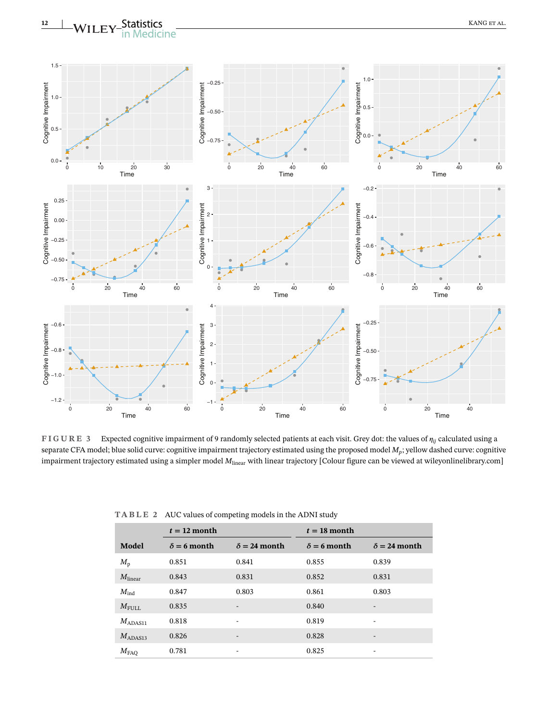

**FIGURE 3** Expected cognitive impairment of 9 randomly selected patients at each visit. Grey dot: the values of *ij* calculated using a separate CFA model; blue solid curve: cognitive impairment trajectory estimated using the proposed model *Mp*; yellow dashed curve: cognitive impairment trajectory estimated using a simpler model  $M_{linear}$  with linear trajectory [Colour figure can be viewed at [wileyonlinelibrary.com\]](http://wileyonlinelibrary.com)

|  |  | TABLE 2 AUC values of competing models in the ADNI study |  |
|--|--|----------------------------------------------------------|--|
|--|--|----------------------------------------------------------|--|

|                    | $t = 12$ month     |                          | $t = 18$ month     |                          |  |
|--------------------|--------------------|--------------------------|--------------------|--------------------------|--|
| Model              | $\delta$ = 6 month | $\delta = 24$ month      | $\delta$ = 6 month | $\delta$ = 24 month      |  |
| $M_{\rm p}$        | 0.851              | 0.841                    | 0.855              | 0.839                    |  |
| $M_{\rm linear}$   | 0.843              | 0.831                    | 0.852              | 0.831                    |  |
| $M_{\rm ind}$      | 0.847              | 0.803                    | 0.861              | 0.803                    |  |
| $M_{\rm FULL}$     | 0.835              | $\overline{\phantom{0}}$ | 0.840              | $\overline{\phantom{0}}$ |  |
| $M_{ADAS11}$       | 0.818              | ۰                        | 0.819              | ۰                        |  |
| $M_{ADAS13}$       | 0.826              | $\overline{\phantom{0}}$ | 0.828              | -                        |  |
| $M_{\mathrm{FAQ}}$ | 0.781              | -                        | 0.825              | -                        |  |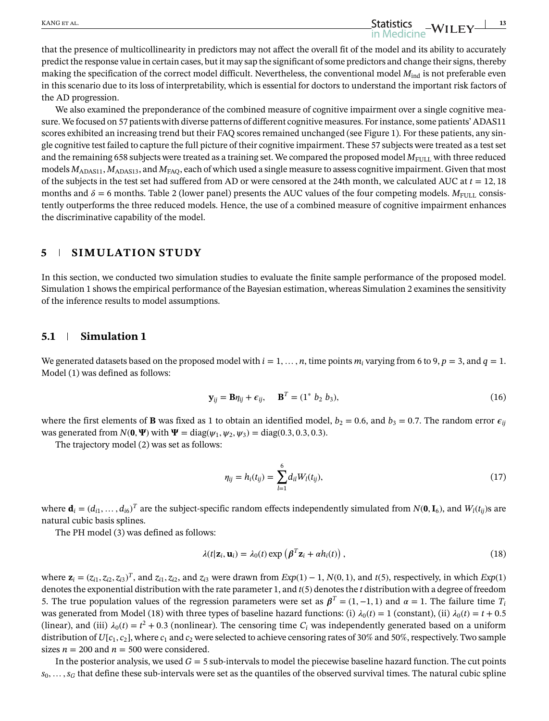that the presence of multicollinearity in predictors may not affect the overall fit of the model and its ability to accurately predict the response value in certain cases, but it may sap the significant of some predictors and change their signs, thereby making the specification of the correct model difficult. Nevertheless, the conventional model  $M_{ind}$  is not preferable even in this scenario due to its loss of interpretability, which is essential for doctors to understand the important risk factors of the AD progression.

We also examined the preponderance of the combined measure of cognitive impairment over a single cognitive measure. We focused on 57 patients with diverse patterns of different cognitive measures. For instance, some patients' ADAS11 scores exhibited an increasing trend but their FAQ scores remained unchanged (see Figure 1). For these patients, any single cognitive test failed to capture the full picture of their cognitive impairment. These 57 subjects were treated as a test set and the remaining 658 subjects were treated as a training set. We compared the proposed model  $M_{\text{FUL}}$  with three reduced models  $M_{ADAS11}$ ,  $M_{ADAS13}$ , and  $M_{FAQ}$ , each of which used a single measure to assess cognitive impairment. Given that most of the subjects in the test set had suffered from AD or were censored at the 24th month, we calculated AUC at  $t = 12, 18$ months and  $\delta = 6$  months. Table 2 (lower panel) presents the AUC values of the four competing models.  $M_{\text{FULL}}$  consistently outperforms the three reduced models. Hence, the use of a combined measure of cognitive impairment enhances the discriminative capability of the model.

#### **5 SIMULATION STUDY**

In this section, we conducted two simulation studies to evaluate the finite sample performance of the proposed model. Simulation 1 shows the empirical performance of the Bayesian estimation, whereas Simulation 2 examines the sensitivity of the inference results to model assumptions.

#### **5.1 Simulation 1**

We generated datasets based on the proposed model with  $i = 1, \ldots, n$ , time points  $m_i$  varying from 6 to 9,  $p = 3$ , and  $q = 1$ . Model (1) was defined as follows:

$$
\mathbf{y}_{ij} = \mathbf{B}\boldsymbol{\eta}_{ij} + \boldsymbol{\epsilon}_{ij}, \quad \mathbf{B}^T = (1^* \ b_2 \ b_3), \tag{16}
$$

where the first elements of **B** was fixed as 1 to obtain an identified model,  $b_2 = 0.6$ , and  $b_3 = 0.7$ . The random error  $\epsilon_{ij}$ was generated from  $N(0, \Psi)$  with  $\Psi = \text{diag}(\psi_1, \psi_2, \psi_3) = \text{diag}(0.3, 0.3, 0.3)$ .

The trajectory model (2) was set as follows:

$$
\eta_{ij} = h_i(t_{ij}) = \sum_{l=1}^{6} d_{il} W_l(t_{ij}), \qquad (17)
$$

where  $\mathbf{d}_i = (d_{i1}, \dots, d_{i6})^T$  are the subject-specific random effects independently simulated from  $N(\mathbf{0}, \mathbf{I}_6)$ , and  $W_l(t_{ij})$ s are natural cubic basis splines.

The PH model (3) was defined as follows:

$$
\lambda(t|\mathbf{z}_i, \mathbf{u}_i) = \lambda_0(t) \exp\left(\boldsymbol{\beta}^T \mathbf{z}_i + \alpha h_i(t)\right),\tag{18}
$$

where  $\mathbf{z}_i = (z_{i1}, z_{i2}, z_{i3})^T$ , and  $z_{i1}, z_{i2}$ , and  $z_{i3}$  were drawn from  $Exp(1) - 1$ ,  $N(0, 1)$ , and  $t(5)$ , respectively, in which  $Exp(1)$ denotes the exponential distribution with the rate parameter 1, and *t*(5) denotes the *t* distribution with a degree of freedom 5. The true population values of the regression parameters were set as  $\beta^T = (1, -1, 1)$  and  $\alpha = 1$ . The failure time  $T_i$ was generated from Model (18) with three types of baseline hazard functions: (i)  $\lambda_0(t) = 1$  (constant), (ii)  $\lambda_0(t) = t + 0.5$ (linear), and (iii)  $\lambda_0(t) = t^2 + 0.3$  (nonlinear). The censoring time  $C_i$  was independently generated based on a uniform distribution of  $U[c_1, c_2]$ , where  $c_1$  and  $c_2$  were selected to achieve censoring rates of 30% and 50%, respectively. Two sample sizes  $n = 200$  and  $n = 500$  were considered.

In the posterior analysis, we used  $G = 5$  sub-intervals to model the piecewise baseline hazard function. The cut points  $s_0, \ldots, s_G$  that define these sub-intervals were set as the quantiles of the observed survival times. The natural cubic spline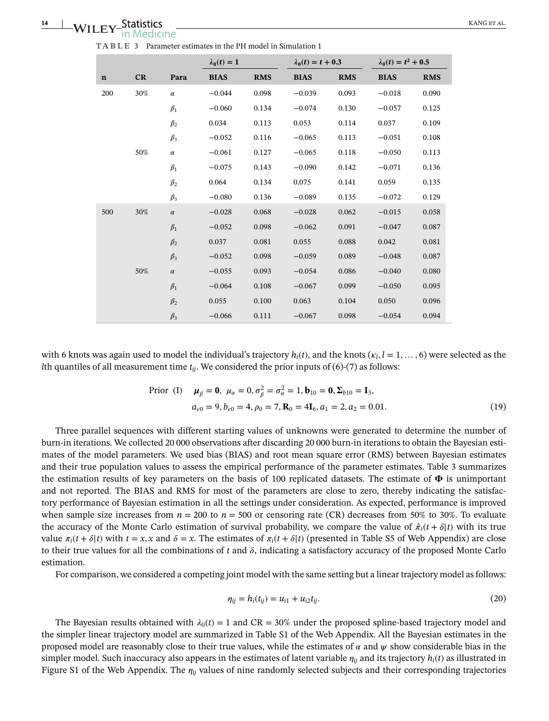| <b>TABLE 3</b> Parameter estimates in the PH model in Simulation 1 |  |
|--------------------------------------------------------------------|--|
|--------------------------------------------------------------------|--|

|             |     |           | $\lambda_0(t) = 1$ |            | $\lambda_0(t) = t + 0.3$ |            | $\lambda_0(t) = t^2 + 0.5$ |            |
|-------------|-----|-----------|--------------------|------------|--------------------------|------------|----------------------------|------------|
| $\mathbf n$ | CR  | Para      | <b>BIAS</b>        | <b>RMS</b> | <b>BIAS</b>              | <b>RMS</b> | <b>BIAS</b>                | <b>RMS</b> |
| 200         | 30% | $\alpha$  | $-0.044$           | 0.098      | $-0.039$                 | 0.093      | $-0.018$                   | 0.090      |
|             |     | $\beta_1$ | $-0.060$           | 0.134      | $-0.074$                 | 0.130      | $-0.057$                   | 0.125      |
|             |     | $\beta_2$ | 0.034              | 0.113      | 0.053                    | 0.114      | 0.037                      | 0.109      |
|             |     | $\beta_3$ | $-0.052$           | 0.116      | $-0.065$                 | 0.113      | $-0.051$                   | 0.108      |
|             | 50% | $\alpha$  | $-0.061$           | 0.127      | $-0.065$                 | 0.118      | $-0.050$                   | 0.113      |
|             |     | $\beta_1$ | $-0.075$           | 0.143      | $-0.090$                 | 0.142      | $-0.071$                   | 0.136      |
|             |     | $\beta_2$ | 0.064              | 0.134      | 0.075                    | 0.141      | 0.059                      | 0.135      |
|             |     | $\beta_3$ | $-0.080$           | 0.136      | $-0.089$                 | 0.135      | $-0.072$                   | 0.129      |
| 500         | 30% | $\alpha$  | $-0.028$           | 0.068      | $-0.028$                 | 0.062      | $-0.015$                   | 0.058      |
|             |     | $\beta_1$ | $-0.052$           | 0.098      | $-0.062$                 | 0.091      | $-0.047$                   | 0.087      |
|             |     | $\beta_2$ | 0.037              | 0.081      | 0.055                    | 0.088      | 0.042                      | 0.081      |
|             |     | $\beta_3$ | $-0.052$           | 0.098      | $-0.059$                 | 0.089      | $-0.048$                   | 0.087      |
|             | 50% | $\alpha$  | $-0.055$           | 0.093      | $-0.054$                 | 0.086      | $-0.040$                   | 0.080      |
|             |     | $\beta_1$ | $-0.064$           | 0.108      | $-0.067$                 | 0.099      | $-0.050$                   | 0.095      |
|             |     | $\beta_2$ | 0.055              | 0.100      | 0.063                    | 0.104      | 0.050                      | 0.096      |
|             |     | $\beta_3$ | $-0.066$           | 0.111      | $-0.067$                 | 0.098      | $-0.054$                   | 0.094      |

with 6 knots was again used to model the individual's trajectory  $h_i(t)$ , and the knots  $(\kappa_l, l = 1, \ldots, 6)$  were selected as the *lth* quantiles of all measurement time  $t_{ij}$ . We considered the prior inputs of (6)-(7) as follows:

Prior (I) 
$$
\mu_{\beta} = \mathbf{0}
$$
,  $\mu_{\alpha} = 0$ ,  $\sigma_{\beta}^2 = \sigma_{\alpha}^2 = 1$ ,  $\mathbf{b}_{10} = \mathbf{0}$ ,  $\Sigma_{b10} = \mathbf{I}_3$ ,  
\n $a_{\epsilon 0} = 9$ ,  $b_{\epsilon 0} = 4$ ,  $\rho_0 = 7$ ,  $\mathbf{R}_0 = 4\mathbf{I}_6$ ,  $a_1 = 2$ ,  $a_2 = 0.01$ . (19)

Three parallel sequences with different starting values of unknowns were generated to determine the number of burn-in iterations. We collected 20 000 observations after discarding 20 000 burn-in iterations to obtain the Bayesian estimates of the model parameters. We used bias (BIAS) and root mean square error (RMS) between Bayesian estimates and their true population values to assess the empirical performance of the parameter estimates. Table 3 summarizes the estimation results of key parameters on the basis of 100 replicated datasets. The estimate of  $\Phi$  is unimportant and not reported. The BIAS and RMS for most of the parameters are close to zero, thereby indicating the satisfactory performance of Bayesian estimation in all the settings under consideration. As expected, performance is improved when sample size increases from  $n = 200$  to  $n = 500$  or censoring rate (CR) decreases from 50% to 30%. To evaluate the accuracy of the Monte Carlo estimation of survival probability, we compare the value of  $\hat{\pi}_i(t + \delta|t)$  with its true value  $\pi_i(t + \delta|t)$  with  $t = x, x$  and  $\delta = x$ . The estimates of  $\pi_i(t + \delta|t)$  (presented in Table S5 of Web Appendix) are close to their true values for all the combinations of  $t$  and  $\delta$ , indicating a satisfactory accuracy of the proposed Monte Carlo estimation.

For comparison, we considered a competing joint model with the same setting but a linear trajectory model as follows:

$$
\eta_{ij} = h_i(t_{ij}) = u_{i1} + u_{i2}t_{ij}.
$$
\n(20)

The Bayesian results obtained with  $\lambda_0(t) = 1$  and CR = 30% under the proposed spline-based trajectory model and the simpler linear trajectory model are summarized in Table S1 of the Web Appendix. All the Bayesian estimates in the proposed model are reasonably close to their true values, while the estimates of  $\alpha$  and  $\psi$  show considerable bias in the simpler model. Such inaccuracy also appears in the estimates of latent variable  $\eta_{ij}$  and its trajectory  $h_i(t)$  as illustrated in Figure S1 of the Web Appendix. The  $\eta_{ij}$  values of nine randomly selected subjects and their corresponding trajectories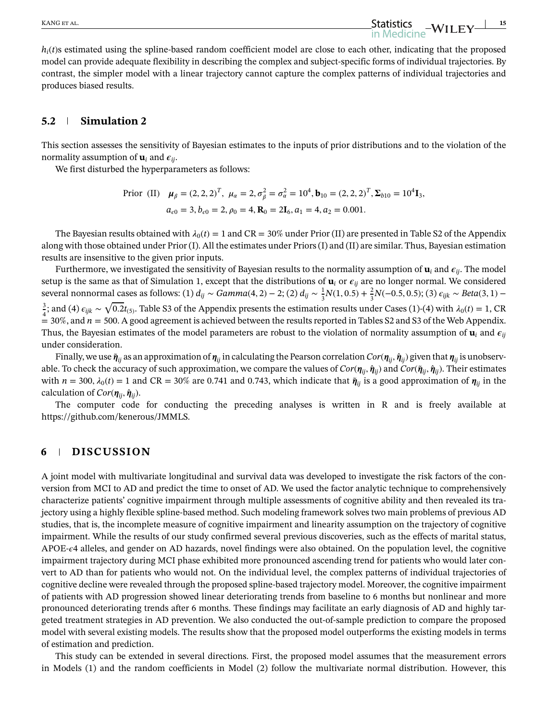$h_i(t)$ s estimated using the spline-based random coefficient model are close to each other, indicating that the proposed model can provide adequate flexibility in describing the complex and subject-specific forms of individual trajectories. By contrast, the simpler model with a linear trajectory cannot capture the complex patterns of individual trajectories and produces biased results.

#### **5.2 Simulation 2**

This section assesses the sensitivity of Bayesian estimates to the inputs of prior distributions and to the violation of the normality assumption of  $\mathbf{u}_i$  and  $\epsilon_{ii}$ .

We first disturbed the hyperparameters as follows:

Prior (II) 
$$
\mu_{\beta} = (2, 2, 2)^T
$$
,  $\mu_{\alpha} = 2$ ,  $\sigma_{\beta}^2 = \sigma_{\alpha}^2 = 10^4$ ,  $\mathbf{b}_{10} = (2, 2, 2)^T$ ,  $\Sigma_{b10} = 10^4$  **I**<sub>3</sub>,  
\n $a_{\epsilon 0} = 3$ ,  $b_{\epsilon 0} = 2$ ,  $\rho_0 = 4$ ,  $\mathbf{R}_0 = 2\mathbf{I}_6$ ,  $a_1 = 4$ ,  $a_2 = 0.001$ .

The Bayesian results obtained with  $\lambda_0(t) = 1$  and CR = 30% under Prior (II) are presented in Table S2 of the Appendix along with those obtained under Prior (I). All the estimates under Priors (I) and (II) are similar. Thus, Bayesian estimation results are insensitive to the given prior inputs.

Furthermore, we investigated the sensitivity of Bayesian results to the normality assumption of  $\mathbf{u}_i$  and  $\epsilon_{ij}$ . The model setup is the same as that of Simulation 1, except that the distributions of  $\mathbf{u}_i$  or  $\epsilon_{ij}$  are no longer normal. We considered several nonnormal cases as follows: (1)  $d_{ij} \sim Gamma(4, 2) - 2$ ; (2)  $d_{ij} \sim \frac{1}{3}N(1, 0.5) + \frac{2}{3}N(-0.5, 0.5)$ ; (3)  $\epsilon_{ijk} \sim Beta(3, 1) -$ 3  $\frac{3}{4}$ ; and (4)  $\epsilon_{ijk} \sim \sqrt{0.2}t_{(5)}$ . Table S3 of the Appendix presents the estimation results under Cases (1)-(4) with  $\lambda_0(t) = 1$ , CR  $=$  30%, and  $n = 500$ . A good agreement is achieved between the results reported in Tables S2 and S3 of the Web Appendix. Thus, the Bayesian estimates of the model parameters are robust to the violation of normality assumption of  $\mathbf{u}_i$  and  $\epsilon_{ij}$ under consideration.

Finally, we use  $\tilde{\pmb{\eta}}_{ij}$  as an approximation of  $\pmb{\eta}_{ij}$  in calculating the Pearson correlation  $Cor(\pmb{\eta}_{ii}, \hat{\pmb{\eta}}_{ii})$  given that  $\pmb{\eta}_{ii}$  is unobservable. To check the accuracy of such approximation, we compare the values of  $Cor(\eta_{ij}, \hat{\eta}_{ij})$  and  $Cor(\tilde{\eta}_{ij}, \hat{\eta}_{ij})$ . Their estimates with  $n = 300$ ,  $\lambda_0(t) = 1$  and CR = 30% are 0.741 and 0.743, which indicate that  $\tilde{\eta}_{ij}$  is a good approximation of  $\eta_{ij}$  in the calculation of  $Cor(\eta_{ii}, \hat{\eta}_{ii})$ .

The computer code for conducting the preceding analyses is written in R and is freely available at https://github.com/kenerous/JMMLS.

#### **6 DISCUSSION**

A joint model with multivariate longitudinal and survival data was developed to investigate the risk factors of the conversion from MCI to AD and predict the time to onset of AD. We used the factor analytic technique to comprehensively characterize patients' cognitive impairment through multiple assessments of cognitive ability and then revealed its trajectory using a highly flexible spline-based method. Such modeling framework solves two main problems of previous AD studies, that is, the incomplete measure of cognitive impairment and linearity assumption on the trajectory of cognitive impairment. While the results of our study confirmed several previous discoveries, such as the effects of marital status, APOE- $\epsilon$ 4 alleles, and gender on AD hazards, novel findings were also obtained. On the population level, the cognitive impairment trajectory during MCI phase exhibited more pronounced ascending trend for patients who would later convert to AD than for patients who would not. On the individual level, the complex patterns of individual trajectories of cognitive decline were revealed through the proposed spline-based trajectory model. Moreover, the cognitive impairment of patients with AD progression showed linear deteriorating trends from baseline to 6 months but nonlinear and more pronounced deteriorating trends after 6 months. These findings may facilitate an early diagnosis of AD and highly targeted treatment strategies in AD prevention. We also conducted the out-of-sample prediction to compare the proposed model with several existing models. The results show that the proposed model outperforms the existing models in terms of estimation and prediction.

This study can be extended in several directions. First, the proposed model assumes that the measurement errors in Models (1) and the random coefficients in Model (2) follow the multivariate normal distribution. However, this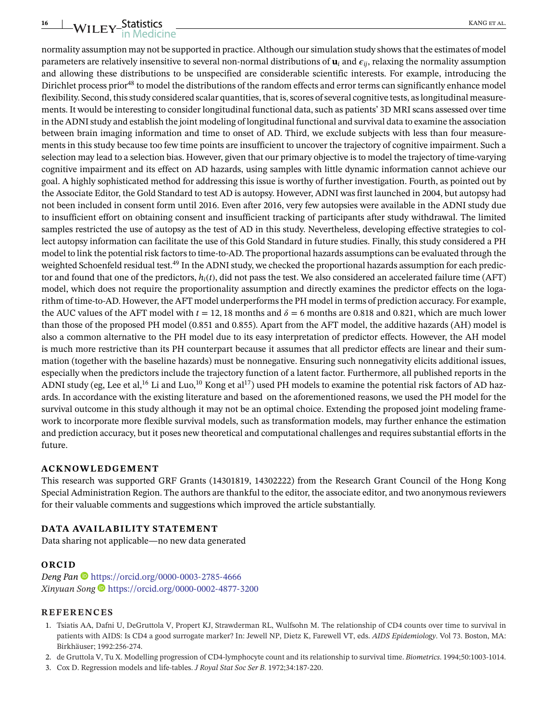# WILEY-Statistics KANG ET AL ANG ET AL

normality assumption may not be supported in practice. Although our simulation study shows that the estimates of model parameters are relatively insensitive to several non-normal distributions of  $\mathbf{u}_i$  and  $\epsilon_{ii}$ , relaxing the normality assumption and allowing these distributions to be unspecified are considerable scientific interests. For example, introducing the Dirichlet process prior<sup>48</sup> to model the distributions of the random effects and error terms can significantly enhance model flexibility. Second, this study considered scalar quantities, that is, scores of several cognitive tests, as longitudinal measurements. It would be interesting to consider longitudinal functional data, such as patients' 3D MRI scans assessed over time in the ADNI study and establish the joint modeling of longitudinal functional and survival data to examine the association between brain imaging information and time to onset of AD. Third, we exclude subjects with less than four measurements in this study because too few time points are insufficient to uncover the trajectory of cognitive impairment. Such a selection may lead to a selection bias. However, given that our primary objective is to model the trajectory of time-varying cognitive impairment and its effect on AD hazards, using samples with little dynamic information cannot achieve our goal. A highly sophisticated method for addressing this issue is worthy of further investigation. Fourth, as pointed out by the Associate Editor, the Gold Standard to test AD is autopsy. However, ADNI was first launched in 2004, but autopsy had not been included in consent form until 2016. Even after 2016, very few autopsies were available in the ADNI study due to insufficient effort on obtaining consent and insufficient tracking of participants after study withdrawal. The limited samples restricted the use of autopsy as the test of AD in this study. Nevertheless, developing effective strategies to collect autopsy information can facilitate the use of this Gold Standard in future studies. Finally, this study considered a PH model to link the potential risk factors to time-to-AD. The proportional hazards assumptions can be evaluated through the weighted Schoenfeld residual test.<sup>49</sup> In the ADNI study, we checked the proportional hazards assumption for each predictor and found that one of the predictors, *hi*(*t*), did not pass the test. We also considered an accelerated failure time (AFT) model, which does not require the proportionality assumption and directly examines the predictor effects on the logarithm of time-to-AD. However, the AFT model underperforms the PH model in terms of prediction accuracy. For example, the AUC values of the AFT model with  $t = 12$ , 18 months and  $\delta = 6$  months are 0.818 and 0.821, which are much lower than those of the proposed PH model (0.851 and 0.855). Apart from the AFT model, the additive hazards (AH) model is also a common alternative to the PH model due to its easy interpretation of predictor effects. However, the AH model is much more restrictive than its PH counterpart because it assumes that all predictor effects are linear and their summation (together with the baseline hazards) must be nonnegative. Ensuring such nonnegativity elicits additional issues, especially when the predictors include the trajectory function of a latent factor. Furthermore, all published reports in the ADNI study (eg, Lee et al,<sup>16</sup> Li and Luo,<sup>10</sup> Kong et al<sup>17</sup>) used PH models to examine the potential risk factors of AD hazards. In accordance with the existing literature and based on the aforementioned reasons, we used the PH model for the survival outcome in this study although it may not be an optimal choice. Extending the proposed joint modeling framework to incorporate more flexible survival models, such as transformation models, may further enhance the estimation and prediction accuracy, but it poses new theoretical and computational challenges and requires substantial efforts in the future.

#### **ACKNOWLEDGEMENT**

This research was supported GRF Grants (14301819, 14302222) from the Research Grant Council of the Hong Kong Special Administration Region. The authors are thankful to the editor, the associate editor, and two anonymous reviewers for their valuable comments and suggestions which improved the article substantially.

#### **DATA AVAILABILITY STATEMENT**

Data sharing not applicable—no new data generated

#### **ORCID**

*Deng Pan* <https://orcid.org/0000-0003-2785-4666> *Xinyuan Song* <https://orcid.org/0000-0002-4877-3200>

#### **REFERENCES**

- 1. Tsiatis AA, Dafni U, DeGruttola V, Propert KJ, Strawderman RL, Wulfsohn M. The relationship of CD4 counts over time to survival in patients with AIDS: Is CD4 a good surrogate marker? In: Jewell NP, Dietz K, Farewell VT, eds. *AIDS Epidemiology*. Vol 73. Boston, MA: Birkhäuser; 1992:256-274.
- 2. de Gruttola V, Tu X. Modelling progression of CD4-lymphocyte count and its relationship to survival time. *Biometrics*. 1994;50:1003-1014.
- 3. Cox D. Regression models and life-tables. *J Royal Stat Soc Ser B*. 1972;34:187-220.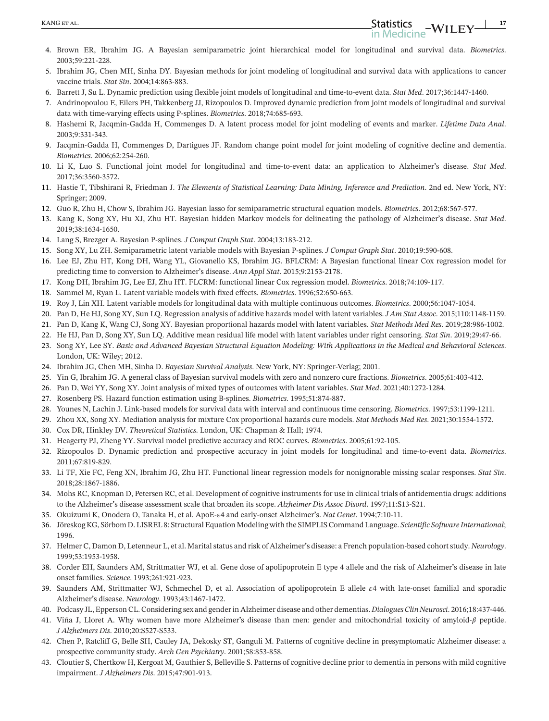- 5. Ibrahim JG, Chen MH, Sinha DY. Bayesian methods for joint modeling of longitudinal and survival data with applications to cancer vaccine trials. *Stat Sin*. 2004;14:863-883.
- 6. Barrett J, Su L. Dynamic prediction using flexible joint models of longitudinal and time-to-event data. *Stat Med*. 2017;36:1447-1460.

7. Andrinopoulou E, Eilers PH, Takkenberg JJ, Rizopoulos D. Improved dynamic prediction from joint models of longitudinal and survival data with time-varying effects using P-splines. *Biometrics*. 2018;74:685-693.

- 8. Hashemi R, Jacqmin-Gadda H, Commenges D. A latent process model for joint modeling of events and marker. *Lifetime Data Anal*. 2003;9:331-343.
- 9. Jacqmin-Gadda H, Commenges D, Dartigues JF. Random change point model for joint modeling of cognitive decline and dementia. *Biometrics*. 2006;62:254-260.
- 10. Li K, Luo S. Functional joint model for longitudinal and time-to-event data: an application to Alzheimer**'**s disease. *Stat Med*. 2017;36:3560-3572.
- 11. Hastie T, Tibshirani R, Friedman J. *The Elements of Statistical Learning: Data Mining, Inference and Prediction*. 2nd ed. New York, NY: Springer; 2009.
- 12. Guo R, Zhu H, Chow S, Ibrahim JG. Bayesian lasso for semiparametric structural equation models. *Biometrics*. 2012;68:567-577.
- 13. Kang K, Song XY, Hu XJ, Zhu HT. Bayesian hidden Markov models for delineating the pathology of Alzheimer**'**s disease. *Stat Med*. 2019;38:1634-1650.
- 14. Lang S, Brezger A. Bayesian P-splines. *J Comput Graph Stat*. 2004;13:183-212.
- 15. Song XY, Lu ZH. Semiparametric latent variable models with Bayesian P-splines. *J Comput Graph Stat*. 2010;19:590-608.
- 16. Lee EJ, Zhu HT, Kong DH, Wang YL, Giovanello KS, Ibrahim JG. BFLCRM: A Bayesian functional linear Cox regression model for predicting time to conversion to Alzheimer**'**s disease. *Ann Appl Stat*. 2015;9:2153-2178.
- 17. Kong DH, Ibrahim JG, Lee EJ, Zhu HT. FLCRM: functional linear Cox regression model. *Biometrics*. 2018;74:109-117.
- 18. Sammel M, Ryan L. Latent variable models with fixed effects. *Biometrics*. 1996;52:650-663.
- 19. Roy J, Lin XH. Latent variable models for longitudinal data with multiple continuous outcomes. *Biometrics*. 2000;56:1047-1054.
- 20. Pan D, He HJ, Song XY, Sun LQ. Regression analysis of additive hazards model with latent variables. *J Am Stat Assoc*. 2015;110:1148-1159.
- 21. Pan D, Kang K, Wang CJ, Song XY. Bayesian proportional hazards model with latent variables. *Stat Methods Med Res*. 2019;28:986-1002.
- 22. He HJ, Pan D, Song XY, Sun LQ. Additive mean residual life model with latent variables under right censoring. *Stat Sin*. 2019;29:47-66.
- 23. Song XY, Lee SY. *Basic and Advanced Bayesian Structural Equation Modeling: With Applications in the Medical and Behavioral Sciences*. London, UK: Wiley; 2012.
- 24. Ibrahim JG, Chen MH, Sinha D. *Bayesian Survival Analysis*. New York, NY: Springer-Verlag; 2001.
- 25. Yin G, Ibrahim JG. A general class of Bayesian survival models with zero and nonzero cure fractions. *Biometrics*. 2005;61:403-412.
- 26. Pan D, Wei YY, Song XY. Joint analysis of mixed types of outcomes with latent variables. *Stat Med*. 2021;40:1272-1284.
- 27. Rosenberg PS. Hazard function estimation using B-splines. *Biometrics*. 1995;51:874-887.
- 28. Younes N, Lachin J. Link-based models for survival data with interval and continuous time censoring. *Biometrics*. 1997;53:1199-1211.
- 29. Zhou XX, Song XY. Mediation analysis for mixture Cox proportional hazards cure models. *Stat Methods Med Res*. 2021;30:1554-1572.
- 30. Cox DR, Hinkley DV. *Theoretical Statistics*. London, UK: Chapman & Hall; 1974.
- 31. Heagerty PJ, Zheng YY. Survival model predictive accuracy and ROC curves. *Biometrics*. 2005;61:92-105.
- 32. Rizopoulos D. Dynamic prediction and prospective accuracy in joint models for longitudinal and time-to-event data. *Biometrics*. 2011;67:819-829.
- 33. Li TF, Xie FC, Feng XN, Ibrahim JG, Zhu HT. Functional linear regression models for nonignorable missing scalar responses. *Stat Sin*. 2018;28:1867-1886.
- 34. Mohs RC, Knopman D, Petersen RC, et al. Development of cognitive instruments for use in clinical trials of antidementia drugs: additions to the Alzheimer**'**s disease assessment scale that broaden its scope. *Alzheimer Dis Assoc Disord*. 1997;11:S13-S21.
- 35. Okuizumi K, Onodera O, Tanaka H, et al. ApoE-4 and early-onset Alzheimer**'**s. *Nat Genet*. 1994;7:10-11.
- 36. Jöreskog KG, Sörbom D. LISREL 8: Structural Equation Modeling with the SIMPLIS Command Language. *Scientific Software International*; 1996.
- 37. Helmer C, Damon D, Letenneur L, et al. Marital status and risk of Alzheimer**'**s disease: a French population-based cohort study. *Neurology*. 1999;53:1953-1958.
- 38. Corder EH, Saunders AM, Strittmatter WJ, et al. Gene dose of apolipoprotein E type 4 allele and the risk of Alzheimer**'**s disease in late onset families. *Science*. 1993;261:921-923.
- 39. Saunders AM, Strittmatter WJ, Schmechel D, et al. Association of apolipoprotein E allele  $\epsilon$ 4 with late-onset familial and sporadic Alzheimer**'**s disease. *Neurology*. 1993;43:1467-1472.
- 40. Podcasy JL, Epperson CL. Considering sex and gender in Alzheimer disease and other dementias. *Dialogues Clin Neurosci*. 2016;18:437-446.
- 41. Viña J, Lloret A. Why women have more Alzheimer's disease than men: gender and mitochondrial toxicity of amyloid- $\beta$  peptide. *J Alzheimers Dis*. 2010;20:S527-S533.
- 42. Chen P, Ratcliff G, Belle SH, Cauley JA, Dekosky ST, Ganguli M. Patterns of cognitive decline in presymptomatic Alzheimer disease: a prospective community study. *Arch Gen Psychiatry*. 2001;58:853-858.
- 43. Cloutier S, Chertkow H, Kergoat M, Gauthier S, Belleville S. Patterns of cognitive decline prior to dementia in persons with mild cognitive impairment. *J Alzheimers Dis*. 2015;47:901-913.